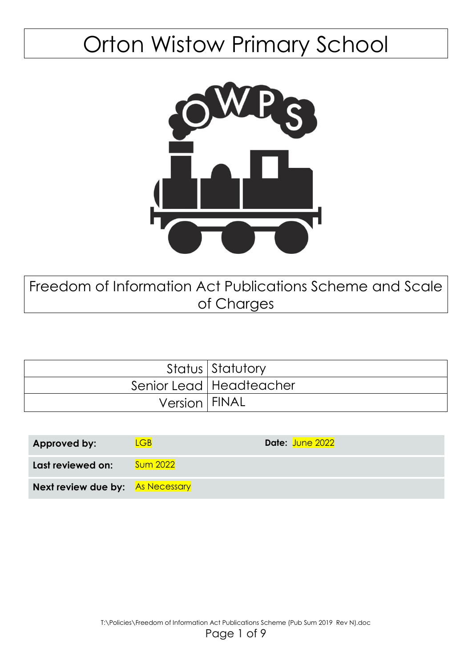# Orton Wistow Primary School



Freedom of Information Act Publications Scheme and Scale of Charges

|                 | Status Statutory          |
|-----------------|---------------------------|
|                 | Senior Lead   Headteacher |
| Version   FINAL |                           |

| Approved by:                            | $\overline{CB}$ | Date: June 2022 |
|-----------------------------------------|-----------------|-----------------|
| Last reviewed on:                       | <b>Sum 2022</b> |                 |
| <b>Next review due by:</b> As Necessary |                 |                 |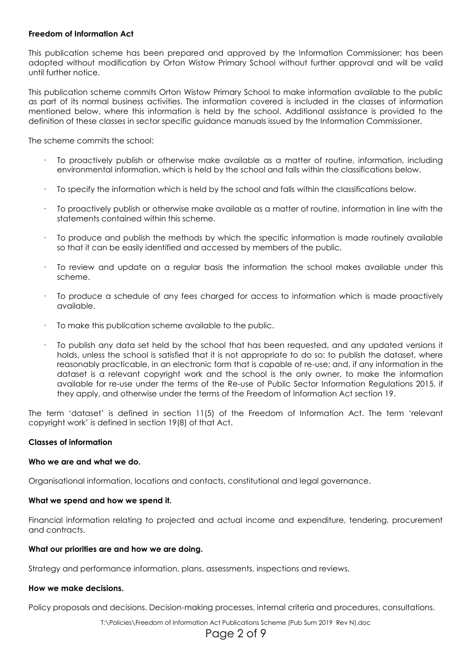# **Freedom of Information Act**

This publication scheme has been prepared and approved by the Information Commissioner; has been adopted without modification by Orton Wistow Primary School without further approval and will be valid until further notice.

This publication scheme commits Orton Wistow Primary School to make information available to the public as part of its normal business activities. The information covered is included in the classes of information mentioned below, where this information is held by the school. Additional assistance is provided to the definition of these classes in sector specific guidance manuals issued by the Information Commissioner.

The scheme commits the school:

- · To proactively publish or otherwise make available as a matter of routine, information, including environmental information, which is held by the school and falls within the classifications below.
- · To specify the information which is held by the school and falls within the classifications below.
- · To proactively publish or otherwise make available as a matter of routine, information in line with the statements contained within this scheme.
- · To produce and publish the methods by which the specific information is made routinely available so that it can be easily identified and accessed by members of the public.
- · To review and update on a regular basis the information the school makes available under this scheme.
- · To produce a schedule of any fees charged for access to information which is made proactively available.
- To make this publication scheme available to the public.
- · To publish any data set held by the school that has been requested, and any updated versions it holds, unless the school is satisfied that it is not appropriate to do so; to publish the dataset, where reasonably practicable, in an electronic form that is capable of re-use; and, if any information in the dataset is a relevant copyright work and the school is the only owner, to make the information available for re-use under the terms of the Re-use of Public Sector Information Regulations 2015, if they apply, and otherwise under the terms of the Freedom of Information Act section 19.

The term 'dataset' is defined in section 11(5) of the Freedom of Information Act. The term 'relevant copyright work' is defined in section 19(8) of that Act.

# **Classes of information**

# **Who we are and what we do.**

Organisational information, locations and contacts, constitutional and legal governance.

# **What we spend and how we spend it.**

Financial information relating to projected and actual income and expenditure, tendering, procurement and contracts.

# **What our priorities are and how we are doing.**

Strategy and performance information, plans, assessments, inspections and reviews.

# **How we make decisions.**

Policy proposals and decisions. Decision-making processes, internal criteria and procedures, consultations.

T:\Policies\Freedom of Information Act Publications Scheme (Pub Sum 2019 Rev N).doc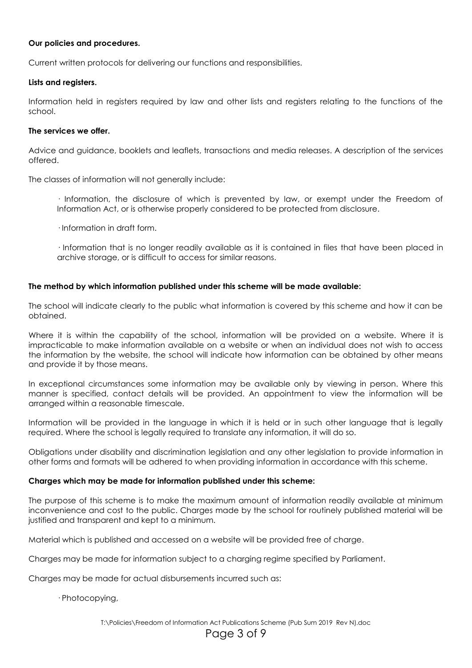# **Our policies and procedures.**

Current written protocols for delivering our functions and responsibilities.

# **Lists and registers.**

Information held in registers required by law and other lists and registers relating to the functions of the school.

# **The services we offer.**

Advice and guidance, booklets and leaflets, transactions and media releases. A description of the services offered.

The classes of information will not generally include:

· Information, the disclosure of which is prevented by law, or exempt under the Freedom of Information Act, or is otherwise properly considered to be protected from disclosure.

· Information in draft form.

· Information that is no longer readily available as it is contained in files that have been placed in archive storage, or is difficult to access for similar reasons.

# **The method by which information published under this scheme will be made available:**

The school will indicate clearly to the public what information is covered by this scheme and how it can be obtained.

Where it is within the capability of the school, information will be provided on a website. Where it is impracticable to make information available on a website or when an individual does not wish to access the information by the website, the school will indicate how information can be obtained by other means and provide it by those means.

In exceptional circumstances some information may be available only by viewing in person. Where this manner is specified, contact details will be provided. An appointment to view the information will be arranged within a reasonable timescale.

Information will be provided in the language in which it is held or in such other language that is legally required. Where the school is legally required to translate any information, it will do so.

Obligations under disability and discrimination legislation and any other legislation to provide information in other forms and formats will be adhered to when providing information in accordance with this scheme.

# **Charges which may be made for information published under this scheme:**

The purpose of this scheme is to make the maximum amount of information readily available at minimum inconvenience and cost to the public. Charges made by the school for routinely published material will be justified and transparent and kept to a minimum.

Material which is published and accessed on a website will be provided free of charge.

Charges may be made for information subject to a charging regime specified by Parliament.

Charges may be made for actual disbursements incurred such as:

· Photocopying,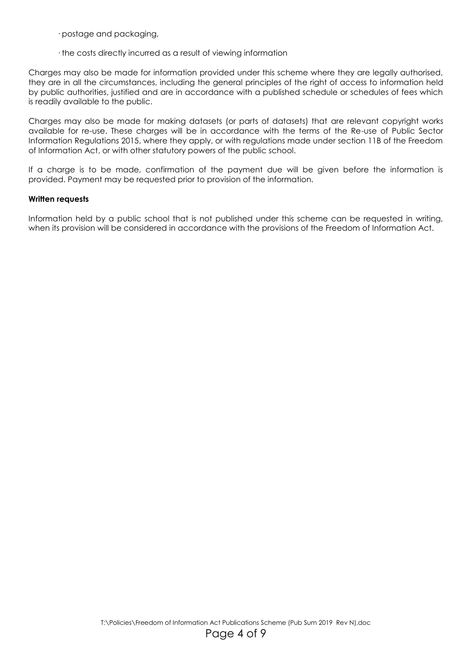· postage and packaging,

· the costs directly incurred as a result of viewing information

Charges may also be made for information provided under this scheme where they are legally authorised, they are in all the circumstances, including the general principles of the right of access to information held by public authorities, justified and are in accordance with a published schedule or schedules of fees which is readily available to the public.

Charges may also be made for making datasets (or parts of datasets) that are relevant copyright works available for re-use. These charges will be in accordance with the terms of the Re-use of Public Sector Information Regulations 2015, where they apply, or with regulations made under section 11B of the Freedom of Information Act, or with other statutory powers of the public school.

If a charge is to be made, confirmation of the payment due will be given before the information is provided. Payment may be requested prior to provision of the information.

# **Written requests**

Information held by a public school that is not published under this scheme can be requested in writing, when its provision will be considered in accordance with the provisions of the Freedom of Information Act.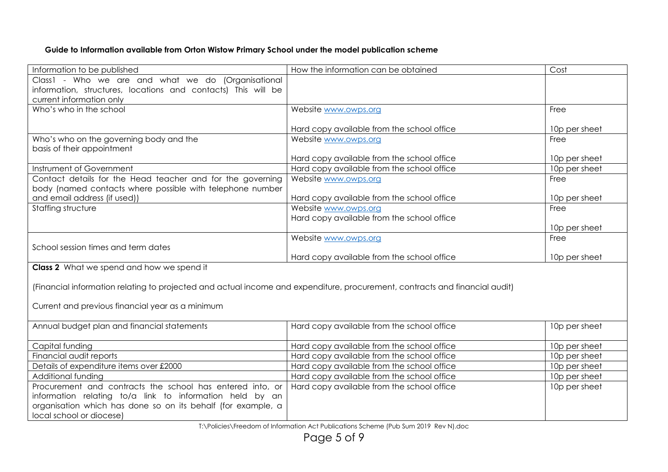# **Guide to Information available from Orton Wistow Primary School under the model publication scheme**

| Information to be published                                                                                                 | How the information can be obtained        | Cost          |  |
|-----------------------------------------------------------------------------------------------------------------------------|--------------------------------------------|---------------|--|
| Class1 - Who we are and what we do (Organisational                                                                          |                                            |               |  |
| information, structures, locations and contacts) This will be                                                               |                                            |               |  |
| current information only                                                                                                    |                                            |               |  |
| Who's who in the school                                                                                                     | Website www.owps.org                       | Free          |  |
|                                                                                                                             |                                            |               |  |
|                                                                                                                             | Hard copy available from the school office | 10p per sheet |  |
| Who's who on the governing body and the                                                                                     | Website www.owps.org                       | Free          |  |
| basis of their appointment                                                                                                  |                                            |               |  |
|                                                                                                                             | Hard copy available from the school office | 10p per sheet |  |
| Instrument of Government                                                                                                    | Hard copy available from the school office | 10p per sheet |  |
| Contact details for the Head teacher and for the governing                                                                  | Website www.owps.org                       | Free          |  |
| body (named contacts where possible with telephone number                                                                   |                                            |               |  |
| and email address (if used))                                                                                                | Hard copy available from the school office | 10p per sheet |  |
| Staffing structure                                                                                                          | Website www.owps.org                       | Free          |  |
|                                                                                                                             | Hard copy available from the school office |               |  |
|                                                                                                                             |                                            | 10p per sheet |  |
|                                                                                                                             | Website www.owps.org                       | Free          |  |
| School session times and term dates                                                                                         |                                            |               |  |
|                                                                                                                             | Hard copy available from the school office | 10p per sheet |  |
| Class 2 What we spend and how we spend it                                                                                   |                                            |               |  |
|                                                                                                                             |                                            |               |  |
| (Financial information relating to projected and actual income and expenditure, procurement, contracts and financial audit) |                                            |               |  |
|                                                                                                                             |                                            |               |  |
| Current and previous financial year as a minimum                                                                            |                                            |               |  |
|                                                                                                                             |                                            |               |  |
| Annual budget plan and financial statements                                                                                 | Hard copy available from the school office | 10p per sheet |  |
| Capital funding                                                                                                             | Hard copy available from the school office | 10p per sheet |  |
| Financial audit reports                                                                                                     | Hard copy available from the school office | 10p per sheet |  |
| Details of expenditure items over £2000                                                                                     | Hard copy available from the school office | 10p per sheet |  |
| Additional funding                                                                                                          | Hard copy available from the school office | 10p per sheet |  |
| Procurement and contracts the school has entered into, or                                                                   | Hard copy available from the school office | 10p per sheet |  |
|                                                                                                                             |                                            |               |  |
| information relating to/a link to information held by an                                                                    |                                            |               |  |
| organisation which has done so on its behalf (for example, a<br>local school or diocese)                                    |                                            |               |  |
|                                                                                                                             |                                            |               |  |

T:\Policies\Freedom of Information Act Publications Scheme (Pub Sum 2019 Rev N).doc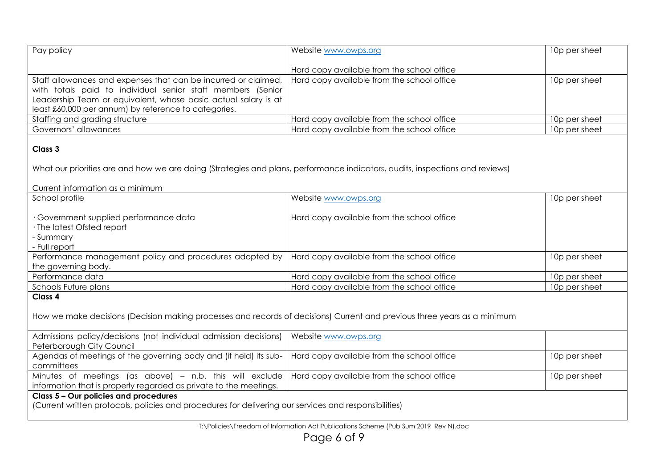| Pay policy                                                                                                                                                                                                                                              | Website www.owps.org                       | 10p per sheet |
|---------------------------------------------------------------------------------------------------------------------------------------------------------------------------------------------------------------------------------------------------------|--------------------------------------------|---------------|
|                                                                                                                                                                                                                                                         | Hard copy available from the school office |               |
| Staff allowances and expenses that can be incurred or claimed,<br>with totals paid to individual senior staff members (Senior<br>Leadership Team or equivalent, whose basic actual salary is at<br>least £60,000 per annum) by reference to categories. | Hard copy available from the school office | 10p per sheet |
| Staffing and grading structure                                                                                                                                                                                                                          | Hard copy available from the school office | 10p per sheet |
| Governors' allowances                                                                                                                                                                                                                                   | Hard copy available from the school office | 10p per sheet |
| Class 3<br>What our priorities are and how we are doing (Strategies and plans, performance indicators, audits, inspections and reviews)<br>Current information as a minimum                                                                             |                                            |               |
| School profile                                                                                                                                                                                                                                          | Website www.owps.org                       | 10p per sheet |
| · Government supplied performance data<br>· The latest Ofsted report<br>- Summary<br>- Full report                                                                                                                                                      | Hard copy available from the school office |               |
| Performance management policy and procedures adopted by                                                                                                                                                                                                 | Hard copy available from the school office | 10p per sheet |
| the governing body.                                                                                                                                                                                                                                     |                                            |               |
| Performance data                                                                                                                                                                                                                                        | Hard copy available from the school office | 10p per sheet |
| Schools Future plans                                                                                                                                                                                                                                    | Hard copy available from the school office | 10p per sheet |
| Class 4<br>How we make decisions (Decision making processes and records of decisions) Current and previous three years as a minimum                                                                                                                     |                                            |               |
| Admissions policy/decisions (not individual admission decisions)<br>Peterborough City Council                                                                                                                                                           | Website www.owps.org                       |               |
| Agendas of meetings of the governing body and (if held) its sub-<br>committees                                                                                                                                                                          | Hard copy available from the school office | 10p per sheet |
| Minutes of meetings (as above) - n.b. this will exclude<br>information that is properly regarded as private to the meetings.                                                                                                                            | Hard copy available from the school office | 10p per sheet |
| Class 5 - Our policies and procedures<br>(Current written protocols, policies and procedures for delivering our services and responsibilities)                                                                                                          |                                            |               |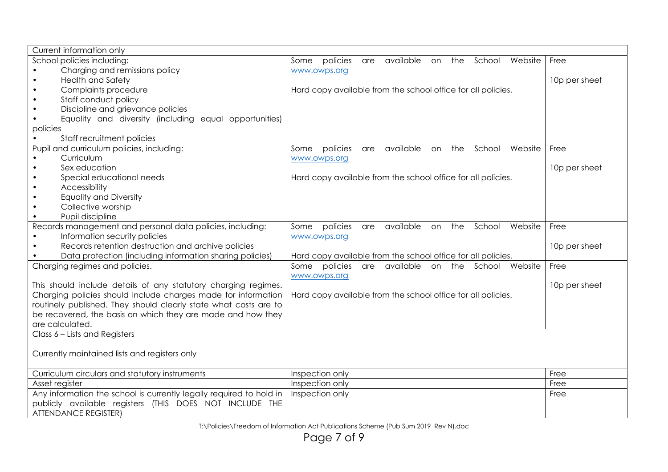| Current information only                                            |                                                                        |               |
|---------------------------------------------------------------------|------------------------------------------------------------------------|---------------|
| School policies including:                                          | policies are<br>available on<br>the School Website<br>Some             | Free          |
| Charging and remissions policy                                      | www.owps.org                                                           |               |
| <b>Health and Safety</b>                                            |                                                                        | 10p per sheet |
| Complaints procedure                                                | Hard copy available from the school office for all policies.           |               |
| Staff conduct policy                                                |                                                                        |               |
| Discipline and grievance policies                                   |                                                                        |               |
| Equality and diversity (including equal opportunities)              |                                                                        |               |
| policies                                                            |                                                                        |               |
| Staff recruitment policies                                          |                                                                        |               |
| Pupil and curriculum policies, including:                           | available<br>the<br>School<br>policies<br>Website<br>Some<br>are<br>on | Free          |
| Curriculum                                                          | www.owps.org                                                           |               |
| Sex education                                                       |                                                                        | 10p per sheet |
| Special educational needs<br>$\bullet$                              | Hard copy available from the school office for all policies.           |               |
| Accessibility                                                       |                                                                        |               |
| <b>Equality and Diversity</b>                                       |                                                                        |               |
| Collective worship                                                  |                                                                        |               |
| Pupil discipline                                                    |                                                                        |               |
| Records management and personal data policies, including:           | available<br>the<br>School<br>Website<br>Some<br>policies<br>are<br>on | Free          |
| Information security policies                                       | www.owps.org                                                           |               |
| Records retention destruction and archive policies                  |                                                                        | 10p per sheet |
| Data protection (including information sharing policies)            | Hard copy available from the school office for all policies.           |               |
| Charging regimes and policies.                                      | Some policies are available<br>on the School Website                   | Free          |
|                                                                     | www.owps.org                                                           |               |
| This should include details of any statutory charging regimes.      |                                                                        | 10p per sheet |
| Charging policies should include charges made for information       | Hard copy available from the school office for all policies.           |               |
| routinely published. They should clearly state what costs are to    |                                                                        |               |
| be recovered, the basis on which they are made and how they         |                                                                        |               |
| are calculated.                                                     |                                                                        |               |
| Class 6 - Lists and Registers                                       |                                                                        |               |
|                                                                     |                                                                        |               |
| Currently maintained lists and registers only                       |                                                                        |               |
|                                                                     |                                                                        |               |
| Curriculum circulars and statutory instruments                      | Inspection only                                                        | Free          |
| Asset register                                                      | Inspection only                                                        | Free          |
| Any information the school is currently legally required to hold in | Inspection only                                                        | Free          |
| publicly available registers (THIS DOES NOT INCLUDE THE             |                                                                        |               |
| <b>ATTENDANCE REGISTER)</b>                                         |                                                                        |               |

T:\Policies\Freedom of Information Act Publications Scheme (Pub Sum 2019 Rev N).doc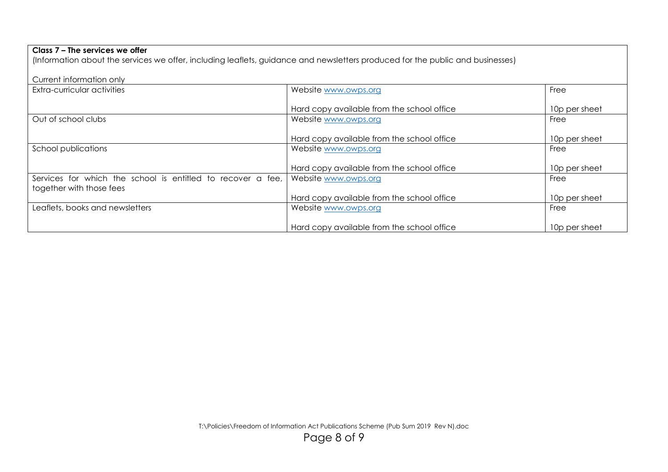(Information about the services we offer, including leaflets, guidance and newsletters produced for the public and businesses)

| Current information only                                    |                                            |               |
|-------------------------------------------------------------|--------------------------------------------|---------------|
| Extra-curricular activities                                 | Website www.owps.org                       | Free          |
|                                                             |                                            |               |
|                                                             | Hard copy available from the school office | 10p per sheet |
| Out of school clubs                                         | Website www.owps.org                       | Free          |
|                                                             |                                            |               |
|                                                             | Hard copy available from the school office | 10p per sheet |
| School publications                                         | Website www.owps.org                       | Free          |
|                                                             |                                            |               |
|                                                             | Hard copy available from the school office | 10p per sheet |
| Services for which the school is entitled to recover a fee, | Website www.owps.org                       | Free          |
| together with those fees                                    |                                            |               |
|                                                             | Hard copy available from the school office | 10p per sheet |
| Leaflets, books and newsletters                             | Website www.owps.org                       | Free          |
|                                                             |                                            |               |
|                                                             | Hard copy available from the school office | 10p per sheet |